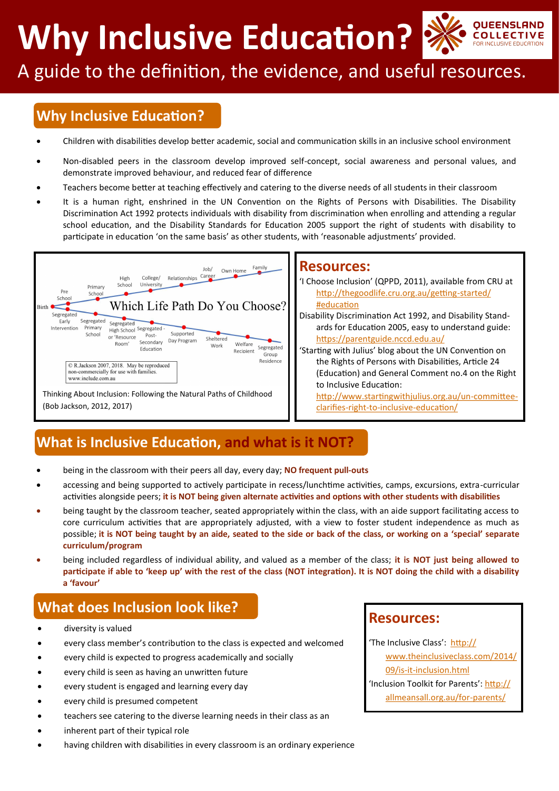**Why Inclusive Education?**



# A guide to the definition, the evidence, and useful resources.

## **Why Inclusive Education?**

- Children with disabilities develop better academic, social and communication skills in an inclusive school environment
- Non-disabled peers in the classroom develop improved self-concept, social awareness and personal values, and demonstrate improved behaviour, and reduced fear of difference
- Teachers become better at teaching effectively and catering to the diverse needs of all students in their classroom
- It is a human right, enshrined in the UN Convention on the Rights of Persons with Disabilities. The Disability Discrimination Act 1992 protects individuals with disability from discrimination when enrolling and attending a regular school education, and the Disability Standards for Education 2005 support the right of students with disability to participate in education 'on the same basis' as other students, with 'reasonable adjustments' provided.



#### **Resources:**

'I Choose Inclusion' (QPPD, 2011), available from CRU at [http://thegoodlife.cru.org.au/getting](http://thegoodlife.cru.org.au/getting-started/#education)-started/ [#education](http://thegoodlife.cru.org.au/getting-started/#education)

Disability Discrimination Act 1992, and Disability Standards for Education 2005, easy to understand guide: <https://parentguide.nccd.edu.au/>

'Starting with Julius' blog about the UN Convention on the Rights of Persons with Disabilities, Article 24 (Education) and General Comment no.4 on the Right to Inclusive Education:

[http://www.startingwithjulius.org.au/un](http://www.startingwithjulius.org.au/un-committee-clarifies-right-to-inclusive-education/)-committeeclarifies-right-to-inclusive-[education/](http://www.startingwithjulius.org.au/un-committee-clarifies-right-to-inclusive-education/)

## **What is Inclusive Education, and what is it NOT?**

- being in the classroom with their peers all day, every day; **NO frequent pull-outs**
- accessing and being supported to actively participate in recess/lunchtime activities, camps, excursions, extra-curricular activities alongside peers; **it is NOT being given alternate activities and options with other students with disabilities**
- being taught by the classroom teacher, seated appropriately within the class, with an aide support facilitating access to core curriculum activities that are appropriately adjusted, with a view to foster student independence as much as possible; **it is NOT being taught by an aide, seated to the side or back of the class, or working on a 'special' separate curriculum/program**
- being included regardless of individual ability, and valued as a member of the class; **it is NOT just being allowed to participate if able to 'keep up' with the rest of the class (NOT integration). It is NOT doing the child with a disability a 'favour'**

## **What does Inclusion look like?**

- diversity is valued
- every class member's contribution to the class is expected and welcomed
- every child is expected to progress academically and socially
- every child is seen as having an unwritten future
- every student is engaged and learning every day
- every child is presumed competent
- teachers see catering to the diverse learning needs in their class as an
- inherent part of their typical role
- having children with disabilities in every classroom is an ordinary experience

#### **Resources:**

'The Inclusive Class': [http://](http://www.theinclusiveclass.com/2014/09/is-it-inclusion.html)

[www.theinclusiveclass.com/2014/](http://www.theinclusiveclass.com/2014/09/is-it-inclusion.html) 09/is-it-[inclusion.html](http://www.theinclusiveclass.com/2014/09/is-it-inclusion.html)

'Inclusion Toolkit for Parents': [http://](http://allmeansall.org.au/for-parents/)

[allmeansall.org.au/for](http://allmeansall.org.au/for-parents/)-parents/